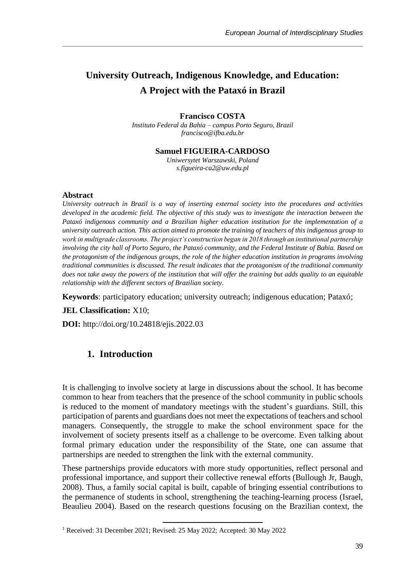# **University Outreach, Indigenous Knowledge, and Education: A Project with the Pataxó in Brazil**

#### **Francisco COSTA**

*Instituto Federal da Bahia – campus Porto Seguro, Brazil francisco@ifba.edu.br*

#### **Samuel FIGUEIRA-CARDOSO**

*Uniwersytet Warszawski, Poland s.figueira-ca2@uw.edu.pl*

#### **Abstract<sup>1</sup>**

*University outreach in Brazil is a way of inserting external society into the procedures and activities developed in the academic field. The objective of this study was to investigate the interaction between the Pataxó indigenous community and a Brazilian higher education institution for the implementation of a university outreach action. This action aimed to promote the training of teachers of this indigenous group to work in multigrade classrooms. The project's construction began in 2018 through an institutional partnership involving the city hall of Porto Seguro, the Pataxó community, and the Federal Institute of Bahia. Based on the protagonism of the indigenous groups, the role of the higher education institution in programs involving traditional communities is discussed. The result indicates that the protagonism of the traditional community does not take away the powers of the institution that will offer the training but adds quality to an equitable relationship with the different sectors of Brazilian society.*

**Keywords**: participatory education; university outreach; indigenous education; Pataxó;

**JEL Classification:** X10;

**DOI:** http://doi.org/10.24818/ejis.2022.03

### **1. Introduction**

It is challenging to involve society at large in discussions about the school. It has become common to hear from teachers that the presence of the school community in public schools is reduced to the moment of mandatory meetings with the student's guardians. Still, this participation of parents and guardians does not meet the expectations of teachers and school managers. Consequently, the struggle to make the school environment space for the involvement of society presents itself as a challenge to be overcome. Even talking about formal primary education under the responsibility of the State, one can assume that partnerships are needed to strengthen the link with the external community.

These partnerships provide educators with more study opportunities, reflect personal and professional importance, and support their collective renewal efforts (Bullough Jr, Baugh, 2008). Thus, a family social capital is built, capable of bringing essential contributions to the permanence of students in school, strengthening the teaching-learning process (Israel, Beaulieu 2004). Based on the research questions focusing on the Brazilian context, the

<sup>1</sup> Received: 31 December 2021; Revised: 25 May 2022; Accepted: 30 May 2022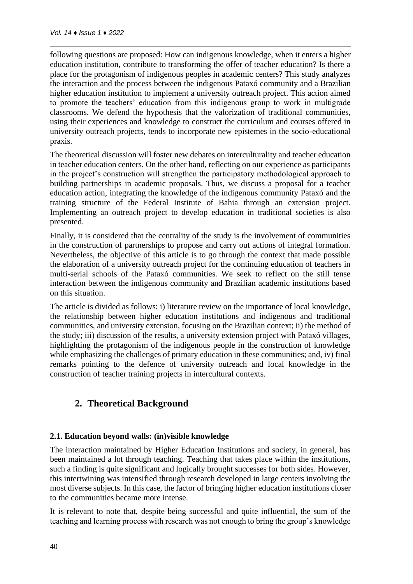following questions are proposed: How can indigenous knowledge, when it enters a higher education institution, contribute to transforming the offer of teacher education? Is there a place for the protagonism of indigenous peoples in academic centers? This study analyzes the interaction and the process between the indigenous Pataxó community and a Brazilian higher education institution to implement a university outreach project. This action aimed to promote the teachers' education from this indigenous group to work in multigrade classrooms. We defend the hypothesis that the valorization of traditional communities, using their experiences and knowledge to construct the curriculum and courses offered in university outreach projects, tends to incorporate new epistemes in the socio-educational praxis.

The theoretical discussion will foster new debates on interculturality and teacher education in teacher education centers. On the other hand, reflecting on our experience as participants in the project's construction will strengthen the participatory methodological approach to building partnerships in academic proposals. Thus, we discuss a proposal for a teacher education action, integrating the knowledge of the indigenous community Pataxó and the training structure of the Federal Institute of Bahia through an extension project. Implementing an outreach project to develop education in traditional societies is also presented.

Finally, it is considered that the centrality of the study is the involvement of communities in the construction of partnerships to propose and carry out actions of integral formation. Nevertheless, the objective of this article is to go through the context that made possible the elaboration of a university outreach project for the continuing education of teachers in multi-serial schools of the Pataxó communities. We seek to reflect on the still tense interaction between the indigenous community and Brazilian academic institutions based on this situation.

The article is divided as follows: i) literature review on the importance of local knowledge, the relationship between higher education institutions and indigenous and traditional communities, and university extension, focusing on the Brazilian context; ii) the method of the study; iii) discussion of the results, a university extension project with Pataxó villages, highlighting the protagonism of the indigenous people in the construction of knowledge while emphasizing the challenges of primary education in these communities; and, iv) final remarks pointing to the defence of university outreach and local knowledge in the construction of teacher training projects in intercultural contexts.

# **2. Theoretical Background**

### **2.1. Education beyond walls: (in)visible knowledge**

The interaction maintained by Higher Education Institutions and society, in general, has been maintained a lot through teaching. Teaching that takes place within the institutions, such a finding is quite significant and logically brought successes for both sides. However, this intertwining was intensified through research developed in large centers involving the most diverse subjects. In this case, the factor of bringing higher education institutions closer to the communities became more intense.

It is relevant to note that, despite being successful and quite influential, the sum of the teaching and learning process with research was not enough to bring the group's knowledge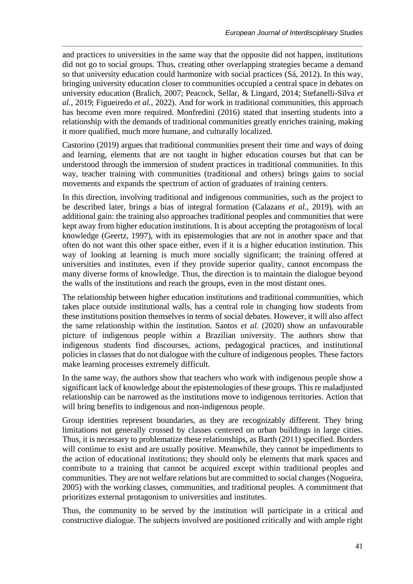and practices to universities in the same way that the opposite did not happen, institutions did not go to social groups. Thus, creating other overlapping strategies became a demand so that university education could harmonize with social practices (Sá, 2012). In this way, bringing university education closer to communities occupied a central space in debates on university education (Bralich, 2007; Peacock, Sellar, & Lingard, 2014; Stefanelli-Silva *et al.*, 2019; Figueiredo *et al.,* 2022). And for work in traditional communities, this approach has become even more required. Monfredini (2016) stated that inserting students into a relationship with the demands of traditional communities greatly enriches training, making it more qualified, much more humane, and culturally localized.

Castorino (2019) argues that traditional communities present their time and ways of doing and learning, elements that are not taught in higher education courses but that can be understood through the immersion of student practices in traditional communities. In this way, teacher training with communities (traditional and others) brings gains to social movements and expands the spectrum of action of graduates of training centers.

In this direction, involving traditional and indigenous communities, such as the project to be described later, brings a bias of integral formation (Calazans *et al.*, 2019), with an additional gain: the training also approaches traditional peoples and communities that were kept away from higher education institutions. It is about accepting the protagonism of local knowledge (Geertz, 1997), with its epistemologies that are not in another space and that often do not want this other space either, even if it is a higher education institution. This way of looking at learning is much more socially significant; the training offered at universities and institutes, even if they provide superior quality, cannot encompass the many diverse forms of knowledge. Thus, the direction is to maintain the dialogue beyond the walls of the institutions and reach the groups, even in the most distant ones.

The relationship between higher education institutions and traditional communities, which takes place outside institutional walls, has a central role in changing how students from these institutions position themselves in terms of social debates. However, it will also affect the same relationship within the institution. Santos *et al*. (2020) show an unfavourable picture of indigenous people within a Brazilian university. The authors show that indigenous students find discourses, actions, pedagogical practices, and institutional policies in classes that do not dialogue with the culture of indigenous peoples. These factors make learning processes extremely difficult.

In the same way, the authors show that teachers who work with indigenous people show a significant lack of knowledge about the epistemologies of these groups. This re maladjusted relationship can be narrowed as the institutions move to indigenous territories. Action that will bring benefits to indigenous and non-indigenous people.

Group identities represent boundaries, as they are recognizably different. They bring limitations not generally crossed by classes centered on urban buildings in large cities. Thus, it is necessary to problematize these relationships, as Barth (2011) specified. Borders will continue to exist and are usually positive. Meanwhile, they cannot be impediments to the action of educational institutions; they should only be elements that mark spaces and contribute to a training that cannot be acquired except within traditional peoples and communities. They are not welfare relations but are committed to social changes (Nogueira, 2005) with the working classes, communities, and traditional peoples. A commitment that prioritizes external protagonism to universities and institutes.

Thus, the community to be served by the institution will participate in a critical and constructive dialogue. The subjects involved are positioned critically and with ample right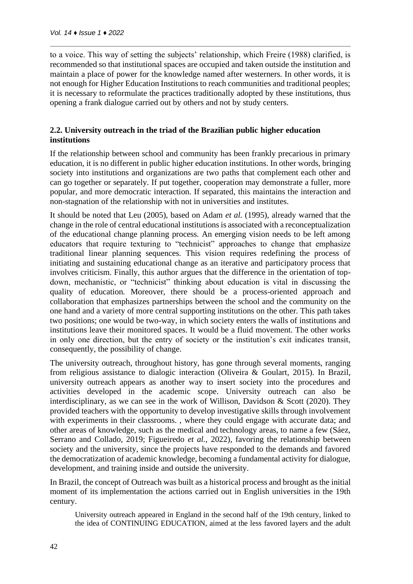to a voice. This way of setting the subjects' relationship, which Freire (1988) clarified, is recommended so that institutional spaces are occupied and taken outside the institution and maintain a place of power for the knowledge named after westerners. In other words, it is not enough for Higher Education Institutions to reach communities and traditional peoples; it is necessary to reformulate the practices traditionally adopted by these institutions, thus opening a frank dialogue carried out by others and not by study centers.

### **2.2. University outreach in the triad of the Brazilian public higher education institutions**

If the relationship between school and community has been frankly precarious in primary education, it is no different in public higher education institutions. In other words, bringing society into institutions and organizations are two paths that complement each other and can go together or separately. If put together, cooperation may demonstrate a fuller, more popular, and more democratic interaction. If separated, this maintains the interaction and non-stagnation of the relationship with not in universities and institutes.

It should be noted that Leu (2005), based on Adam *et al.* (1995), already warned that the change in the role of central educational institutions is associated with a reconceptualization of the educational change planning process. An emerging vision needs to be left among educators that require texturing to "technicist" approaches to change that emphasize traditional linear planning sequences. This vision requires redefining the process of initiating and sustaining educational change as an iterative and participatory process that involves criticism. Finally, this author argues that the difference in the orientation of topdown, mechanistic, or "technicist" thinking about education is vital in discussing the quality of education. Moreover, there should be a process-oriented approach and collaboration that emphasizes partnerships between the school and the community on the one hand and a variety of more central supporting institutions on the other. This path takes two positions; one would be two-way, in which society enters the walls of institutions and institutions leave their monitored spaces. It would be a fluid movement. The other works in only one direction, but the entry of society or the institution's exit indicates transit, consequently, the possibility of change.

The university outreach, throughout history, has gone through several moments, ranging from religious assistance to dialogic interaction (Oliveira & Goulart, 2015). In Brazil, university outreach appears as another way to insert society into the procedures and activities developed in the academic scope. University outreach can also be interdisciplinary, as we can see in the work of Willison, Davidson & Scott (2020). They provided teachers with the opportunity to develop investigative skills through involvement with experiments in their classrooms., where they could engage with accurate data; and other areas of knowledge, such as the medical and technology areas, to name a few (Sáez, Serrano and Collado, 2019; Figueiredo *et al.*, 2022), favoring the relationship between society and the university, since the projects have responded to the demands and favored the democratization of academic knowledge, becoming a fundamental activity for dialogue, development, and training inside and outside the university.

In Brazil, the concept of Outreach was built as a historical process and brought as the initial moment of its implementation the actions carried out in English universities in the 19th century.

University outreach appeared in England in the second half of the 19th century, linked to the idea of CONTINUING EDUCATION, aimed at the less favored layers and the adult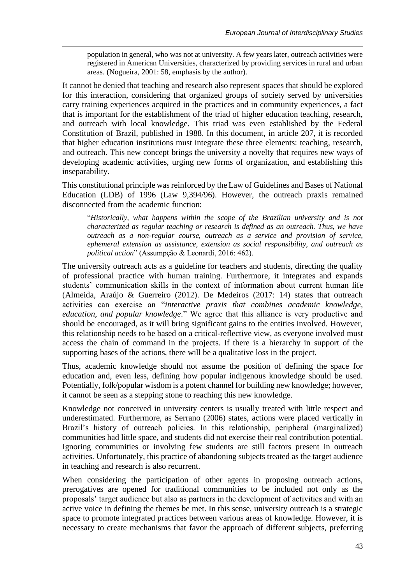population in general, who was not at university. A few years later, outreach activities were registered in American Universities, characterized by providing services in rural and urban areas. (Nogueira, 2001: 58, emphasis by the author).

It cannot be denied that teaching and research also represent spaces that should be explored for this interaction, considering that organized groups of society served by universities carry training experiences acquired in the practices and in community experiences, a fact that is important for the establishment of the triad of higher education teaching, research, and outreach with local knowledge. This triad was even established by the Federal Constitution of Brazil, published in 1988. In this document, in article 207, it is recorded that higher education institutions must integrate these three elements: teaching, research, and outreach. This new concept brings the university a novelty that requires new ways of developing academic activities, urging new forms of organization, and establishing this inseparability.

This constitutional principle was reinforced by the Law of Guidelines and Bases of National Education (LDB) of 1996 (Law 9,394/96). However, the outreach praxis remained disconnected from the academic function:

"*Historically, what happens within the scope of the Brazilian university and is not characterized as regular teaching or research is defined as an outreach. Thus, we have outreach as a non-regular course, outreach as a service and provision of service, ephemeral extension as assistance, extension as social responsibility, and outreach as political action*" (Assumpção & Leonardi, 2016: 462).

The university outreach acts as a guideline for teachers and students, directing the quality of professional practice with human training. Furthermore, it integrates and expands students' communication skills in the context of information about current human life (Almeida, Araújo & Guerreiro (2012). De Medeiros (2017: 14) states that outreach activities can exercise an "*interactive praxis that combines academic knowledge, education, and popular knowledge*." We agree that this alliance is very productive and should be encouraged, as it will bring significant gains to the entities involved. However, this relationship needs to be based on a critical-reflective view, as everyone involved must access the chain of command in the projects. If there is a hierarchy in support of the supporting bases of the actions, there will be a qualitative loss in the project.

Thus, academic knowledge should not assume the position of defining the space for education and, even less, defining how popular indigenous knowledge should be used. Potentially, folk/popular wisdom is a potent channel for building new knowledge; however, it cannot be seen as a stepping stone to reaching this new knowledge.

Knowledge not conceived in university centers is usually treated with little respect and underestimated. Furthermore, as Serrano (2006) states, actions were placed vertically in Brazil's history of outreach policies. In this relationship, peripheral (marginalized) communities had little space, and students did not exercise their real contribution potential. Ignoring communities or involving few students are still factors present in outreach activities. Unfortunately, this practice of abandoning subjects treated as the target audience in teaching and research is also recurrent.

When considering the participation of other agents in proposing outreach actions, prerogatives are opened for traditional communities to be included not only as the proposals' target audience but also as partners in the development of activities and with an active voice in defining the themes be met. In this sense, university outreach is a strategic space to promote integrated practices between various areas of knowledge. However, it is necessary to create mechanisms that favor the approach of different subjects, preferring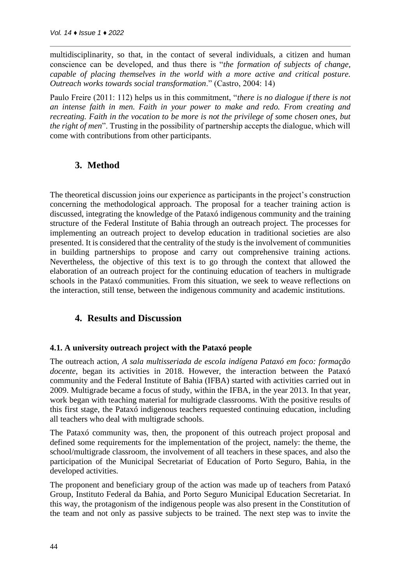multidisciplinarity, so that, in the contact of several individuals, a citizen and human conscience can be developed, and thus there is "*the formation of subjects of change, capable of placing themselves in the world with a more active and critical posture. Outreach works towards social transformation*." (Castro, 2004: 14)

Paulo Freire (2011: 112) helps us in this commitment, "*there is no dialogue if there is not an intense faith in men. Faith in your power to make and redo. From creating and recreating. Faith in the vocation to be more is not the privilege of some chosen ones, but the right of men*". Trusting in the possibility of partnership accepts the dialogue, which will come with contributions from other participants.

# **3. Method**

The theoretical discussion joins our experience as participants in the project's construction concerning the methodological approach. The proposal for a teacher training action is discussed, integrating the knowledge of the Pataxó indigenous community and the training structure of the Federal Institute of Bahia through an outreach project. The processes for implementing an outreach project to develop education in traditional societies are also presented. It is considered that the centrality of the study is the involvement of communities in building partnerships to propose and carry out comprehensive training actions. Nevertheless, the objective of this text is to go through the context that allowed the elaboration of an outreach project for the continuing education of teachers in multigrade schools in the Pataxó communities. From this situation, we seek to weave reflections on the interaction, still tense, between the indigenous community and academic institutions.

### **4. Results and Discussion**

### **4.1. A university outreach project with the Pataxó people**

The outreach action, *A sala multisseriada de escola indígena Pataxó em foco: formação docente*, began its activities in 2018. However, the interaction between the Pataxó community and the Federal Institute of Bahia (IFBA) started with activities carried out in 2009. Multigrade became a focus of study, within the IFBA, in the year 2013. In that year, work began with teaching material for multigrade classrooms. With the positive results of this first stage, the Pataxó indigenous teachers requested continuing education, including all teachers who deal with multigrade schools.

The Pataxó community was, then, the proponent of this outreach project proposal and defined some requirements for the implementation of the project, namely: the theme, the school/multigrade classroom, the involvement of all teachers in these spaces, and also the participation of the Municipal Secretariat of Education of Porto Seguro, Bahia, in the developed activities.

The proponent and beneficiary group of the action was made up of teachers from Pataxó Group, Instituto Federal da Bahia, and Porto Seguro Municipal Education Secretariat. In this way, the protagonism of the indigenous people was also present in the Constitution of the team and not only as passive subjects to be trained. The next step was to invite the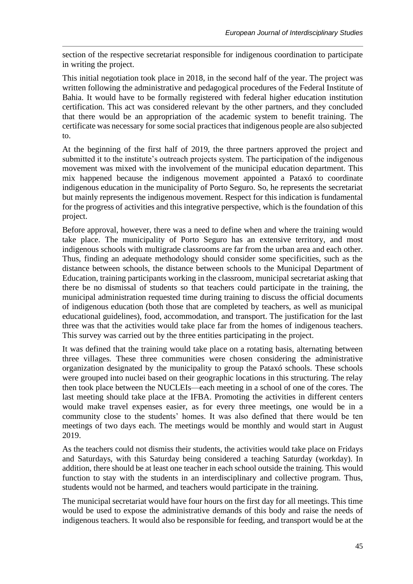section of the respective secretariat responsible for indigenous coordination to participate in writing the project.

This initial negotiation took place in 2018, in the second half of the year. The project was written following the administrative and pedagogical procedures of the Federal Institute of Bahia. It would have to be formally registered with federal higher education institution certification. This act was considered relevant by the other partners, and they concluded that there would be an appropriation of the academic system to benefit training. The certificate was necessary for some social practices that indigenous people are also subjected to.

At the beginning of the first half of 2019, the three partners approved the project and submitted it to the institute's outreach projects system. The participation of the indigenous movement was mixed with the involvement of the municipal education department. This mix happened because the indigenous movement appointed a Pataxó to coordinate indigenous education in the municipality of Porto Seguro. So, he represents the secretariat but mainly represents the indigenous movement. Respect for this indication is fundamental for the progress of activities and this integrative perspective, which is the foundation of this project.

Before approval, however, there was a need to define when and where the training would take place. The municipality of Porto Seguro has an extensive territory, and most indigenous schools with multigrade classrooms are far from the urban area and each other. Thus, finding an adequate methodology should consider some specificities, such as the distance between schools, the distance between schools to the Municipal Department of Education, training participants working in the classroom, municipal secretariat asking that there be no dismissal of students so that teachers could participate in the training, the municipal administration requested time during training to discuss the official documents of indigenous education (both those that are completed by teachers, as well as municipal educational guidelines), food, accommodation, and transport. The justification for the last three was that the activities would take place far from the homes of indigenous teachers. This survey was carried out by the three entities participating in the project.

It was defined that the training would take place on a rotating basis, alternating between three villages. These three communities were chosen considering the administrative organization designated by the municipality to group the Pataxó schools. These schools were grouped into nuclei based on their geographic locations in this structuring. The relay then took place between the NUCLEIs—each meeting in a school of one of the cores. The last meeting should take place at the IFBA. Promoting the activities in different centers would make travel expenses easier, as for every three meetings, one would be in a community close to the students' homes. It was also defined that there would be ten meetings of two days each. The meetings would be monthly and would start in August 2019.

As the teachers could not dismiss their students, the activities would take place on Fridays and Saturdays, with this Saturday being considered a teaching Saturday (workday). In addition, there should be at least one teacher in each school outside the training. This would function to stay with the students in an interdisciplinary and collective program. Thus, students would not be harmed, and teachers would participate in the training.

The municipal secretariat would have four hours on the first day for all meetings. This time would be used to expose the administrative demands of this body and raise the needs of indigenous teachers. It would also be responsible for feeding, and transport would be at the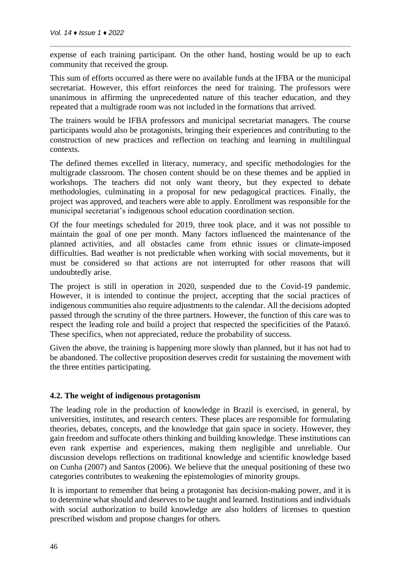expense of each training participant. On the other hand, hosting would be up to each community that received the group.

This sum of efforts occurred as there were no available funds at the IFBA or the municipal secretariat. However, this effort reinforces the need for training. The professors were unanimous in affirming the unprecedented nature of this teacher education, and they repeated that a multigrade room was not included in the formations that arrived.

The trainers would be IFBA professors and municipal secretariat managers. The course participants would also be protagonists, bringing their experiences and contributing to the construction of new practices and reflection on teaching and learning in multilingual contexts.

The defined themes excelled in literacy, numeracy, and specific methodologies for the multigrade classroom. The chosen content should be on these themes and be applied in workshops. The teachers did not only want theory, but they expected to debate methodologies, culminating in a proposal for new pedagogical practices. Finally, the project was approved, and teachers were able to apply. Enrollment was responsible for the municipal secretariat's indigenous school education coordination section.

Of the four meetings scheduled for 2019, three took place, and it was not possible to maintain the goal of one per month. Many factors influenced the maintenance of the planned activities, and all obstacles came from ethnic issues or climate-imposed difficulties. Bad weather is not predictable when working with social movements, but it must be considered so that actions are not interrupted for other reasons that will undoubtedly arise.

The project is still in operation in 2020, suspended due to the Covid-19 pandemic. However, it is intended to continue the project, accepting that the social practices of indigenous communities also require adjustments to the calendar. All the decisions adopted passed through the scrutiny of the three partners. However, the function of this care was to respect the leading role and build a project that respected the specificities of the Pataxó. These specifics, when not appreciated, reduce the probability of success.

Given the above, the training is happening more slowly than planned, but it has not had to be abandoned. The collective proposition deserves credit for sustaining the movement with the three entities participating.

### **4.2. The weight of indigenous protagonism**

The leading role in the production of knowledge in Brazil is exercised, in general, by universities, institutes, and research centers. These places are responsible for formulating theories, debates, concepts, and the knowledge that gain space in society. However, they gain freedom and suffocate others thinking and building knowledge. These institutions can even rank expertise and experiences, making them negligible and unreliable. Our discussion develops reflections on traditional knowledge and scientific knowledge based on Cunha (2007) and Santos (2006). We believe that the unequal positioning of these two categories contributes to weakening the epistemologies of minority groups.

It is important to remember that being a protagonist has decision-making power, and it is to determine what should and deserves to be taught and learned. Institutions and individuals with social authorization to build knowledge are also holders of licenses to question prescribed wisdom and propose changes for others.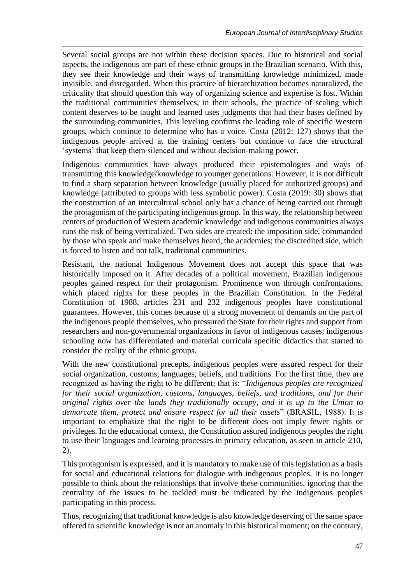Several social groups are not within these decision spaces. Due to historical and social aspects, the indigenous are part of these ethnic groups in the Brazilian scenario. With this, they see their knowledge and their ways of transmitting knowledge minimized, made invisible, and disregarded. When this practice of hierarchization becomes naturalized, the criticality that should question this way of organizing science and expertise is lost. Within the traditional communities themselves, in their schools, the practice of scaling which content deserves to be taught and learned uses judgments that had their bases defined by the surrounding communities. This leveling confirms the leading role of specific Western groups, which continue to determine who has a voice. Costa (2012: 127) shows that the indigenous people arrived at the training centers but continue to face the structural 'systems' that keep them silenced and without decision-making power.

Indigenous communities have always produced their epistemologies and ways of transmitting this knowledge/knowledge to younger generations. However, it is not difficult to find a sharp separation between knowledge (usually placed for authorized groups) and knowledge (attributed to groups with less symbolic power). Costa (2019: 30) shows that the construction of an intercultural school only has a chance of being carried out through the protagonism of the participating indigenous group. In this way, the relationship between centers of production of Western academic knowledge and indigenous communities always runs the risk of being verticalized. Two sides are created: the imposition side, commanded by those who speak and make themselves heard, the academies; the discredited side, which is forced to listen and not talk, traditional communities.

Resistant, the national Indigenous Movement does not accept this space that was historically imposed on it. After decades of a political movement, Brazilian indigenous peoples gained respect for their protagonism. Prominence won through confrontations, which placed rights for these peoples in the Brazilian Constitution. In the Federal Constitution of 1988, articles 231 and 232 indigenous peoples have constitutional guarantees. However, this comes because of a strong movement of demands on the part of the indigenous people themselves, who pressured the State for their rights and support from researchers and non-governmental organizations in favor of indigenous causes; indigenous schooling now has differentiated and material curricula specific didactics that started to consider the reality of the ethnic groups.

With the new constitutional precepts, indigenous peoples were assured respect for their social organization, customs, languages, beliefs, and traditions. For the first time, they are recognized as having the right to be different; that is: "*Indigenous peoples are recognized for their social organization, customs, languages, beliefs, and traditions, and for their original rights over the lands they traditionally occupy, and it is up to the Union to demarcate them, protect and ensure respect for all their assets*" (BRASIL, 1988). It is important to emphasize that the right to be different does not imply fewer rights or privileges. In the educational context, the Constitution assured indigenous peoples the right to use their languages and learning processes in primary education, as seen in article 210, 2).

This protagonism is expressed, and it is mandatory to make use of this legislation as a basis for social and educational relations for dialogue with indigenous peoples. It is no longer possible to think about the relationships that involve these communities, ignoring that the centrality of the issues to be tackled must be indicated by the indigenous peoples participating in this process.

Thus, recognizing that traditional knowledge is also knowledge deserving of the same space offered to scientific knowledge is not an anomaly in this historical moment; on the contrary,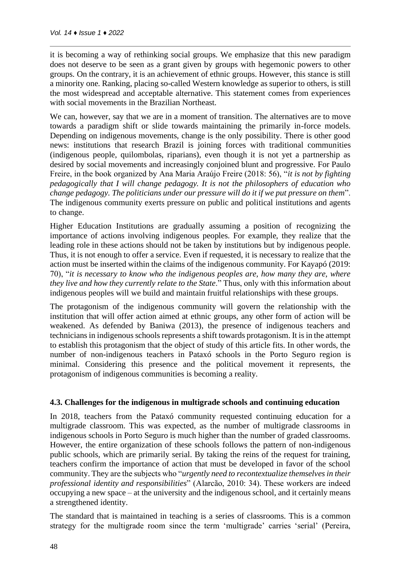it is becoming a way of rethinking social groups. We emphasize that this new paradigm does not deserve to be seen as a grant given by groups with hegemonic powers to other groups. On the contrary, it is an achievement of ethnic groups. However, this stance is still a minority one. Ranking, placing so-called Western knowledge as superior to others, is still the most widespread and acceptable alternative. This statement comes from experiences with social movements in the Brazilian Northeast.

We can, however, say that we are in a moment of transition. The alternatives are to move towards a paradigm shift or slide towards maintaining the primarily in-force models. Depending on indigenous movements, change is the only possibility. There is other good news: institutions that research Brazil is joining forces with traditional communities (indigenous people, quilombolas, riparians), even though it is not yet a partnership as desired by social movements and increasingly conjoined blunt and progressive. For Paulo Freire, in the book organized by Ana Maria Araújo Freire (2018: 56), "*it is not by fighting pedagogically that I will change pedagogy. It is not the philosophers of education who change pedagogy. The politicians under our pressure will do it if we put pressure on them*". The indigenous community exerts pressure on public and political institutions and agents to change.

Higher Education Institutions are gradually assuming a position of recognizing the importance of actions involving indigenous peoples. For example, they realize that the leading role in these actions should not be taken by institutions but by indigenous people. Thus, it is not enough to offer a service. Even if requested, it is necessary to realize that the action must be inserted within the claims of the indigenous community. For Kayapó (2019: 70), "*it is necessary to know who the indigenous peoples are, how many they are, where they live and how they currently relate to the State*." Thus, only with this information about indigenous peoples will we build and maintain fruitful relationships with these groups.

The protagonism of the indigenous community will govern the relationship with the institution that will offer action aimed at ethnic groups, any other form of action will be weakened. As defended by Baniwa (2013), the presence of indigenous teachers and technicians in indigenous schools represents a shift towards protagonism. It is in the attempt to establish this protagonism that the object of study of this article fits. In other words, the number of non-indigenous teachers in Pataxó schools in the Porto Seguro region is minimal. Considering this presence and the political movement it represents, the protagonism of indigenous communities is becoming a reality.

### **4.3. Challenges for the indigenous in multigrade schools and continuing education**

In 2018, teachers from the Pataxó community requested continuing education for a multigrade classroom. This was expected, as the number of multigrade classrooms in indigenous schools in Porto Seguro is much higher than the number of graded classrooms. However, the entire organization of these schools follows the pattern of non-indigenous public schools, which are primarily serial. By taking the reins of the request for training, teachers confirm the importance of action that must be developed in favor of the school community. They are the subjects who "*urgently need to recontextualize themselves in their professional identity and responsibilities*" (Alarcão, 2010: 34). These workers are indeed occupying a new space – at the university and the indigenous school, and it certainly means a strengthened identity.

The standard that is maintained in teaching is a series of classrooms. This is a common strategy for the multigrade room since the term 'multigrade' carries 'serial' (Pereira,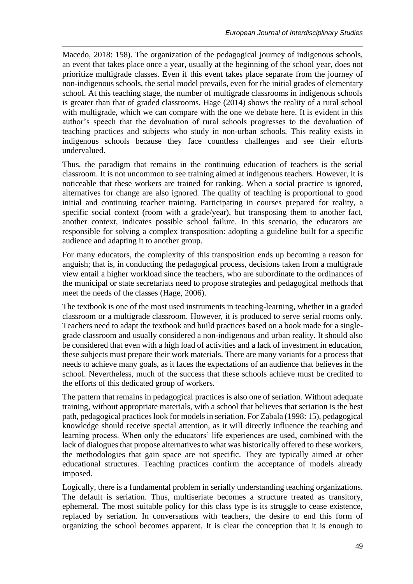Macedo, 2018: 158). The organization of the pedagogical journey of indigenous schools, an event that takes place once a year, usually at the beginning of the school year, does not prioritize multigrade classes. Even if this event takes place separate from the journey of non-indigenous schools, the serial model prevails, even for the initial grades of elementary school. At this teaching stage, the number of multigrade classrooms in indigenous schools is greater than that of graded classrooms. Hage (2014) shows the reality of a rural school with multigrade, which we can compare with the one we debate here. It is evident in this author's speech that the devaluation of rural schools progresses to the devaluation of teaching practices and subjects who study in non-urban schools. This reality exists in indigenous schools because they face countless challenges and see their efforts undervalued.

Thus, the paradigm that remains in the continuing education of teachers is the serial classroom. It is not uncommon to see training aimed at indigenous teachers. However, it is noticeable that these workers are trained for ranking. When a social practice is ignored, alternatives for change are also ignored. The quality of teaching is proportional to good initial and continuing teacher training. Participating in courses prepared for reality, a specific social context (room with a grade/year), but transposing them to another fact, another context, indicates possible school failure. In this scenario, the educators are responsible for solving a complex transposition: adopting a guideline built for a specific audience and adapting it to another group.

For many educators, the complexity of this transposition ends up becoming a reason for anguish; that is, in conducting the pedagogical process, decisions taken from a multigrade view entail a higher workload since the teachers, who are subordinate to the ordinances of the municipal or state secretariats need to propose strategies and pedagogical methods that meet the needs of the classes (Hage, 2006).

The textbook is one of the most used instruments in teaching-learning, whether in a graded classroom or a multigrade classroom. However, it is produced to serve serial rooms only. Teachers need to adapt the textbook and build practices based on a book made for a singlegrade classroom and usually considered a non-indigenous and urban reality. It should also be considered that even with a high load of activities and a lack of investment in education, these subjects must prepare their work materials. There are many variants for a process that needs to achieve many goals, as it faces the expectations of an audience that believes in the school. Nevertheless, much of the success that these schools achieve must be credited to the efforts of this dedicated group of workers.

The pattern that remains in pedagogical practices is also one of seriation. Without adequate training, without appropriate materials, with a school that believes that seriation is the best path, pedagogical practices look for models in seriation. For Zabala (1998: 15), pedagogical knowledge should receive special attention, as it will directly influence the teaching and learning process. When only the educators' life experiences are used, combined with the lack of dialogues that propose alternatives to what was historically offered to these workers, the methodologies that gain space are not specific. They are typically aimed at other educational structures. Teaching practices confirm the acceptance of models already imposed.

Logically, there is a fundamental problem in serially understanding teaching organizations. The default is seriation. Thus, multiseriate becomes a structure treated as transitory, ephemeral. The most suitable policy for this class type is its struggle to cease existence, replaced by seriation. In conversations with teachers, the desire to end this form of organizing the school becomes apparent. It is clear the conception that it is enough to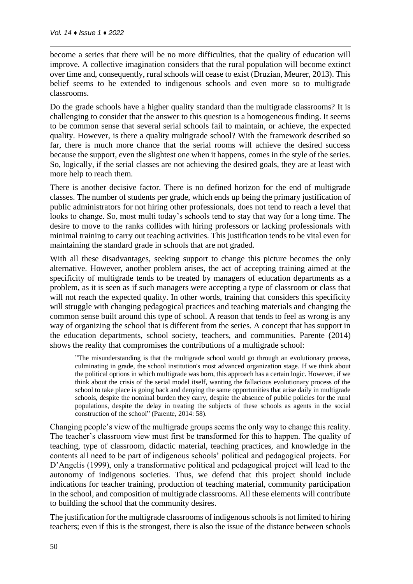become a series that there will be no more difficulties, that the quality of education will improve. A collective imagination considers that the rural population will become extinct over time and, consequently, rural schools will cease to exist (Druzian, Meurer, 2013). This belief seems to be extended to indigenous schools and even more so to multigrade classrooms.

Do the grade schools have a higher quality standard than the multigrade classrooms? It is challenging to consider that the answer to this question is a homogeneous finding. It seems to be common sense that several serial schools fail to maintain, or achieve, the expected quality. However, is there a quality multigrade school? With the framework described so far, there is much more chance that the serial rooms will achieve the desired success because the support, even the slightest one when it happens, comes in the style of the series. So, logically, if the serial classes are not achieving the desired goals, they are at least with more help to reach them.

There is another decisive factor. There is no defined horizon for the end of multigrade classes. The number of students per grade, which ends up being the primary justification of public administrators for not hiring other professionals, does not tend to reach a level that looks to change. So, most multi today's schools tend to stay that way for a long time. The desire to move to the ranks collides with hiring professors or lacking professionals with minimal training to carry out teaching activities. This justification tends to be vital even for maintaining the standard grade in schools that are not graded.

With all these disadvantages, seeking support to change this picture becomes the only alternative. However, another problem arises, the act of accepting training aimed at the specificity of multigrade tends to be treated by managers of education departments as a problem, as it is seen as if such managers were accepting a type of classroom or class that will not reach the expected quality. In other words, training that considers this specificity will struggle with changing pedagogical practices and teaching materials and changing the common sense built around this type of school. A reason that tends to feel as wrong is any way of organizing the school that is different from the series. A concept that has support in the education departments, school society, teachers, and communities. Parente (2014) shows the reality that compromises the contributions of a multigrade school:

"The misunderstanding is that the multigrade school would go through an evolutionary process, culminating in grade, the school institution's most advanced organization stage. If we think about the political options in which multigrade was born, this approach has a certain logic. However, if we think about the crisis of the serial model itself, wanting the fallacious evolutionary process of the school to take place is going back and denying the same opportunities that arise daily in multigrade schools, despite the nominal burden they carry, despite the absence of public policies for the rural populations, despite the delay in treating the subjects of these schools as agents in the social construction of the school" (Parente, 2014: 58).

Changing people's view of the multigrade groups seems the only way to change this reality. The teacher's classroom view must first be transformed for this to happen. The quality of teaching, type of classroom, didactic material, teaching practices, and knowledge in the contents all need to be part of indigenous schools' political and pedagogical projects. For D'Angelis (1999), only a transformative political and pedagogical project will lead to the autonomy of indigenous societies. Thus, we defend that this project should include indications for teacher training, production of teaching material, community participation in the school, and composition of multigrade classrooms. All these elements will contribute to building the school that the community desires.

The justification for the multigrade classrooms of indigenous schools is not limited to hiring teachers; even if this is the strongest, there is also the issue of the distance between schools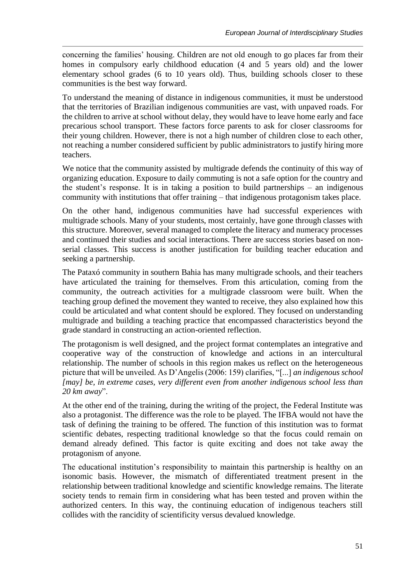concerning the families' housing. Children are not old enough to go places far from their homes in compulsory early childhood education (4 and 5 years old) and the lower elementary school grades (6 to 10 years old). Thus, building schools closer to these communities is the best way forward.

To understand the meaning of distance in indigenous communities, it must be understood that the territories of Brazilian indigenous communities are vast, with unpaved roads. For the children to arrive at school without delay, they would have to leave home early and face precarious school transport. These factors force parents to ask for closer classrooms for their young children. However, there is not a high number of children close to each other, not reaching a number considered sufficient by public administrators to justify hiring more teachers.

We notice that the community assisted by multigrade defends the continuity of this way of organizing education. Exposure to daily commuting is not a safe option for the country and the student's response. It is in taking a position to build partnerships – an indigenous community with institutions that offer training – that indigenous protagonism takes place.

On the other hand, indigenous communities have had successful experiences with multigrade schools. Many of your students, most certainly, have gone through classes with this structure. Moreover, several managed to complete the literacy and numeracy processes and continued their studies and social interactions. There are success stories based on nonserial classes. This success is another justification for building teacher education and seeking a partnership.

The Pataxó community in southern Bahia has many multigrade schools, and their teachers have articulated the training for themselves. From this articulation, coming from the community, the outreach activities for a multigrade classroom were built. When the teaching group defined the movement they wanted to receive, they also explained how this could be articulated and what content should be explored. They focused on understanding multigrade and building a teaching practice that encompassed characteristics beyond the grade standard in constructing an action-oriented reflection.

The protagonism is well designed, and the project format contemplates an integrative and cooperative way of the construction of knowledge and actions in an intercultural relationship. The number of schools in this region makes us reflect on the heterogeneous picture that will be unveiled. As D'Angelis (2006: 159) clarifies, "[...] *an indigenous school [may] be, in extreme cases, very different even from another indigenous school less than 20 km away*".

At the other end of the training, during the writing of the project, the Federal Institute was also a protagonist. The difference was the role to be played. The IFBA would not have the task of defining the training to be offered. The function of this institution was to format scientific debates, respecting traditional knowledge so that the focus could remain on demand already defined. This factor is quite exciting and does not take away the protagonism of anyone.

The educational institution's responsibility to maintain this partnership is healthy on an isonomic basis. However, the mismatch of differentiated treatment present in the relationship between traditional knowledge and scientific knowledge remains. The literate society tends to remain firm in considering what has been tested and proven within the authorized centers. In this way, the continuing education of indigenous teachers still collides with the rancidity of scientificity versus devalued knowledge.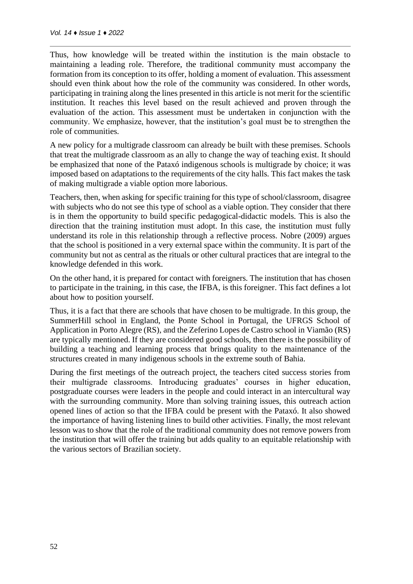Thus, how knowledge will be treated within the institution is the main obstacle to maintaining a leading role. Therefore, the traditional community must accompany the formation from its conception to its offer, holding a moment of evaluation. This assessment should even think about how the role of the community was considered. In other words, participating in training along the lines presented in this article is not merit for the scientific institution. It reaches this level based on the result achieved and proven through the evaluation of the action. This assessment must be undertaken in conjunction with the community. We emphasize, however, that the institution's goal must be to strengthen the role of communities.

A new policy for a multigrade classroom can already be built with these premises. Schools that treat the multigrade classroom as an ally to change the way of teaching exist. It should be emphasized that none of the Pataxó indigenous schools is multigrade by choice; it was imposed based on adaptations to the requirements of the city halls. This fact makes the task of making multigrade a viable option more laborious.

Teachers, then, when asking for specific training for this type of school/classroom, disagree with subjects who do not see this type of school as a viable option. They consider that there is in them the opportunity to build specific pedagogical-didactic models. This is also the direction that the training institution must adopt. In this case, the institution must fully understand its role in this relationship through a reflective process. Nobre (2009) argues that the school is positioned in a very external space within the community. It is part of the community but not as central as the rituals or other cultural practices that are integral to the knowledge defended in this work.

On the other hand, it is prepared for contact with foreigners. The institution that has chosen to participate in the training, in this case, the IFBA, is this foreigner. This fact defines a lot about how to position yourself.

Thus, it is a fact that there are schools that have chosen to be multigrade. In this group, the SummerHill school in England, the Ponte School in Portugal, the UFRGS School of Application in Porto Alegre (RS), and the Zeferino Lopes de Castro school in Viamão (RS) are typically mentioned. If they are considered good schools, then there is the possibility of building a teaching and learning process that brings quality to the maintenance of the structures created in many indigenous schools in the extreme south of Bahia.

During the first meetings of the outreach project, the teachers cited success stories from their multigrade classrooms. Introducing graduates' courses in higher education, postgraduate courses were leaders in the people and could interact in an intercultural way with the surrounding community. More than solving training issues, this outreach action opened lines of action so that the IFBA could be present with the Pataxó. It also showed the importance of having listening lines to build other activities. Finally, the most relevant lesson was to show that the role of the traditional community does not remove powers from the institution that will offer the training but adds quality to an equitable relationship with the various sectors of Brazilian society.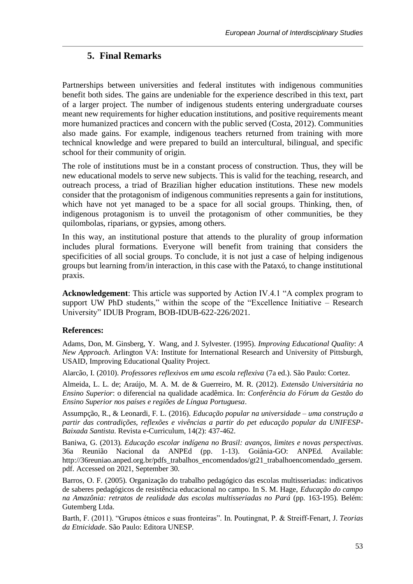# **5. Final Remarks**

Partnerships between universities and federal institutes with indigenous communities benefit both sides. The gains are undeniable for the experience described in this text, part of a larger project. The number of indigenous students entering undergraduate courses meant new requirements for higher education institutions, and positive requirements meant more humanized practices and concern with the public served (Costa, 2012). Communities also made gains. For example, indigenous teachers returned from training with more technical knowledge and were prepared to build an intercultural, bilingual, and specific school for their community of origin.

The role of institutions must be in a constant process of construction. Thus, they will be new educational models to serve new subjects. This is valid for the teaching, research, and outreach process, a triad of Brazilian higher education institutions. These new models consider that the protagonism of indigenous communities represents a gain for institutions, which have not yet managed to be a space for all social groups. Thinking, then, of indigenous protagonism is to unveil the protagonism of other communities, be they quilombolas, riparians, or gypsies, among others.

In this way, an institutional posture that attends to the plurality of group information includes plural formations. Everyone will benefit from training that considers the specificities of all social groups. To conclude, it is not just a case of helping indigenous groups but learning from/in interaction, in this case with the Pataxó, to change institutional praxis.

**Acknowledgement**: This article was supported by Action IV.4.1 "A complex program to support UW PhD students," within the scope of the "Excellence Initiative – Research University" IDUB Program, BOB-IDUB-622-226/2021.

### **References:**

Adams, Don, M. Ginsberg, Y. Wang, and J. Sylvester. (1995). *Improving Educational Quality*: *A New Approach*. Arlington VA: Institute for International Research and University of Pittsburgh, USAID, Improving Educational Quality Project.

Alarcão, I. (2010). *Professores reflexivos em uma escola reflexiva* (7a ed.). São Paulo: Cortez.

Almeida, L. L. de; Araújo, M. A. M. de & Guerreiro, M. R. (2012). *Extensão Universitária no Ensino Superior*: o diferencial na qualidade acadêmica. In: *Conferência do Fórum da Gestão do Ensino Superior nos países e regiões de Língua Portuguesa*.

Assumpção, R., & Leonardi, F. L. (2016). *Educação popular na universidade – uma construção a partir das contradições, reflexões e vivências a partir do pet educação popular da UNIFESP-Baixada Santista*. Revista e-Curriculum, 14(2): 437-462.

Baniwa, G. (2013). *Educação escolar indígena no Brasil: avanços, limites e novas perspectivas*. 36a Reunião Nacional da ANPEd (pp. 1-13). Goiânia-GO: ANPEd. Available: [http://36reuniao.anped.org.br/pdfs\\_trabalhos\\_encomendados/gt21\\_trabalhoencomendado\\_gersem.](http://36reuniao.anped.org.br/pdfs_trabalhos_encomendados/gt21_trabalhoencomendado_gersem.pdf) [pdf.](http://36reuniao.anped.org.br/pdfs_trabalhos_encomendados/gt21_trabalhoencomendado_gersem.pdf) Accessed on 2021, September 30.

Barros, O. F. (2005). Organização do trabalho pedagógico das escolas multisseriadas: indicativos de saberes pedagógicos de resistência educacional no campo. In S. M. Hage, *Educação do campo na Amazônia: retratos de realidade das escolas multisseriadas no Pará* (pp. 163-195). Belém: Gutemberg Ltda.

Barth, F. (2011). "Grupos étnicos e suas fronteiras". In. Poutingnat, P. & Streiff-Fenart, J. *Teorias da Etnicidade*. São Paulo: Editora UNESP.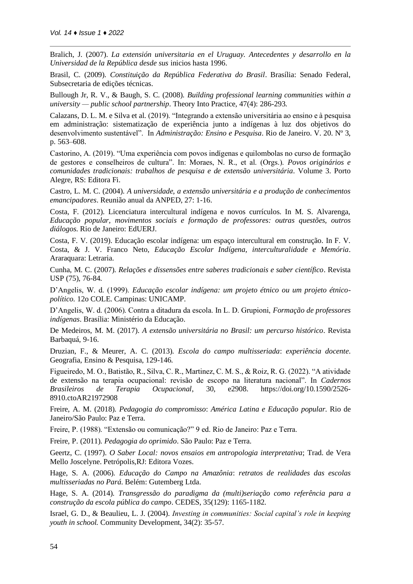Bralich, J. (2007). *La extensión universitaria en el Uruguay. Antecedentes y desarrollo en la Universidad de la República desde sus* inicios hasta 1996.

Brasil, C. (2009). *Constituição da República Federativa do Brasil*. Brasília: Senado Federal, Subsecretaria de edições técnicas.

Bullough Jr, R. V., & Baugh, S. C. (2008). *Building professional learning communities within a university — public school partnership*. Theory Into Practice, 47(4): 286-293.

Calazans, D. L. M. e Silva et al. (2019). "Integrando a extensão universitária ao ensino e à pesquisa em administração: sistematização de experiência junto a indígenas à luz dos objetivos do desenvolvimento sustentável". In *Administração: Ensino e Pesquisa*. Rio de Janeiro. V. 20. Nº 3, p. 563–608.

Castorino, A. (2019). "Uma experiência com povos indígenas e quilombolas no curso de formação de gestores e conselheiros de cultura". In: Moraes, N. R., et al. (Orgs.). *Povos originários e comunidades tradicionais: trabalhos de pesquisa e de extensão universitária*. Volume 3. Porto Alegre, RS: Editora Fi.

Castro, L. M. C. (2004). *A universidade, a extensão universitária e a produção de conhecimentos emancipadores*. Reunião anual da ANPED, 27: 1-16.

Costa, F. (2012). Licenciatura intercultural indígena e novos currículos. In M. S. Alvarenga, *Educação popular, movimentos sociais e formação de professores: outras questões, outros diálogos*. Rio de Janeiro: EdUERJ.

Costa, F. V. (2019). Educação escolar indígena: um espaço intercultural em construção. In F. V. Costa, & J. V. Franco Neto, *Educação Escolar Indígena, interculturalidade e Memória*. Araraquara: Letraria.

Cunha, M. C. (2007). *Relações e dissensões entre saberes tradicionais e saber científico*. Revista USP (75), 76-84.

D'Angelis, W. d. (1999). *Educação escolar indígena: um projeto étnico ou um projeto étnicopolítico*. 12o COLE. Campinas: UNICAMP.

D'Angelis, W. d. (2006). Contra a ditadura da escola. In L. D. Grupioni, *Formação de professores indígenas*. Brasília: Ministério da Educação.

De Medeiros, M. M. (2017). *A extensão universitária no Brasil: um percurso histórico*. Revista Barbaquá, 9-16.

Druzian, F., & Meurer, A. C. (2013). *Escola do campo multisseriada*: *experiência docente*. Geografia, Ensino & Pesquisa, 129-146.

Figueiredo, M. O., Batistão, R., Silva, C. R., Martinez, C. M. S., & Roiz, R. G. (2022). "A atividade de extensão na terapia ocupacional: revisão de escopo na literatura nacional". In *Cadernos Brasileiros de Terapia Ocupacional*, 30, e2908. https://doi.org/10.1590/2526- 8910.ctoAR21972908

Freire, A. M. (2018). *Pedagogia do compromisso*: *América Latina e Educação popular*. Rio de Janeiro/São Paulo: Paz e Terra.

Freire, P. (1988). "Extensão ou comunicação?" 9 ed. Rio de Janeiro: Paz e Terra.

Freire, P. (2011). *Pedagogia do oprimido*. São Paulo: Paz e Terra.

Geertz, C. (1997). *O Saber Local: novos ensaios em antropologia interpretativa*; Trad. de Vera Mello Joscelyne. Petrópolis,RJ: Editora Vozes.

Hage, S. A. (2006). *Educação do Campo na Amazônia*: *retratos de realidades das escolas multisseriadas no Pará*. Belém: Gutemberg Ltda.

Hage, S. A. (2014). *Transgressão do paradigma da (multi)seriação como referência para a construção da escola pública do campo*. CEDES, 35(129): 1165-1182.

Israel, G. D., & Beaulieu, L. J. (2004). *Investing in communities: Social capital's role in keeping youth in school.* Community Development, 34(2): 35-57.